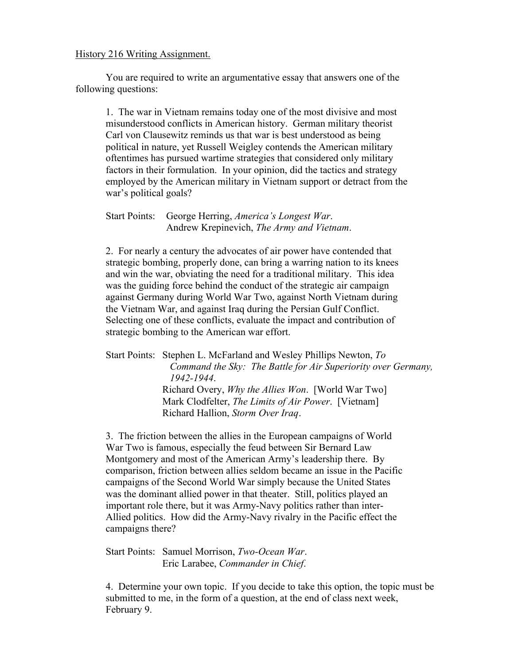## History 216 Writing Assignment.

You are required to write an argumentative essay that answers one of the following questions:

1. The war in Vietnam remains today one of the most divisive and most misunderstood conflicts in American history. German military theorist Carl von Clausewitz reminds us that war is best understood as being political in nature, yet Russell Weigley contends the American military oftentimes has pursued wartime strategies that considered only military factors in their formulation. In your opinion, did the tactics and strategy employed by the American military in Vietnam support or detract from the war's political goals?

Start Points: George Herring, *America's Longest War*. Andrew Krepinevich, *The Army and Vietnam*.

2. For nearly a century the advocates of air power have contended that strategic bombing, properly done, can bring a warring nation to its knees and win the war, obviating the need for a traditional military. This idea was the guiding force behind the conduct of the strategic air campaign against Germany during World War Two, against North Vietnam during the Vietnam War, and against Iraq during the Persian Gulf Conflict. Selecting one of these conflicts, evaluate the impact and contribution of strategic bombing to the American war effort.

Start Points: Stephen L. McFarland and Wesley Phillips Newton, *To Command the Sky: The Battle for Air Superiority over Germany, 1942-1944*. Richard Overy, *Why the Allies Won*. [World War Two] Mark Clodfelter, *The Limits of Air Power*. [Vietnam] Richard Hallion, *Storm Over Iraq*.

3. The friction between the allies in the European campaigns of World War Two is famous, especially the feud between Sir Bernard Law Montgomery and most of the American Army's leadership there. By comparison, friction between allies seldom became an issue in the Pacific campaigns of the Second World War simply because the United States was the dominant allied power in that theater. Still, politics played an important role there, but it was Army-Navy politics rather than inter-Allied politics. How did the Army-Navy rivalry in the Pacific effect the campaigns there?

Start Points: Samuel Morrison, *Two-Ocean War*. Eric Larabee, *Commander in Chief*.

4. Determine your own topic. If you decide to take this option, the topic must be submitted to me, in the form of a question, at the end of class next week, February 9.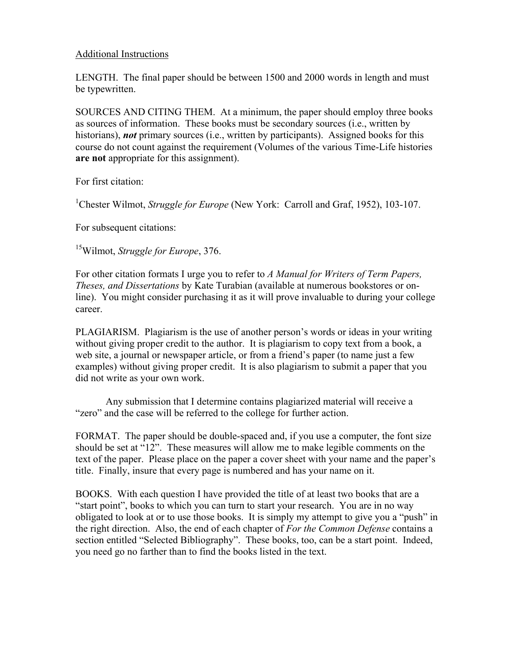## Additional Instructions

LENGTH. The final paper should be between 1500 and 2000 words in length and must be typewritten.

SOURCES AND CITING THEM. At a minimum, the paper should employ three books as sources of information. These books must be secondary sources (i.e., written by historians), *not* primary sources (i.e., written by participants). Assigned books for this course do not count against the requirement (Volumes of the various Time-Life histories **are not** appropriate for this assignment).

For first citation:

<sup>1</sup>Chester Wilmot, *Struggle for Europe* (New York: Carroll and Graf, 1952), 103-107.

For subsequent citations:

15Wilmot, *Struggle for Europe*, 376.

For other citation formats I urge you to refer to *A Manual for Writers of Term Papers, Theses, and Dissertations* by Kate Turabian (available at numerous bookstores or online). You might consider purchasing it as it will prove invaluable to during your college career.

PLAGIARISM. Plagiarism is the use of another person's words or ideas in your writing without giving proper credit to the author. It is plagiarism to copy text from a book, a web site, a journal or newspaper article, or from a friend's paper (to name just a few examples) without giving proper credit. It is also plagiarism to submit a paper that you did not write as your own work.

Any submission that I determine contains plagiarized material will receive a "zero" and the case will be referred to the college for further action.

FORMAT. The paper should be double-spaced and, if you use a computer, the font size should be set at "12". These measures will allow me to make legible comments on the text of the paper. Please place on the paper a cover sheet with your name and the paper's title. Finally, insure that every page is numbered and has your name on it.

BOOKS. With each question I have provided the title of at least two books that are a "start point", books to which you can turn to start your research. You are in no way obligated to look at or to use those books. It is simply my attempt to give you a "push" in the right direction. Also, the end of each chapter of *For the Common Defense* contains a section entitled "Selected Bibliography". These books, too, can be a start point. Indeed, you need go no farther than to find the books listed in the text.